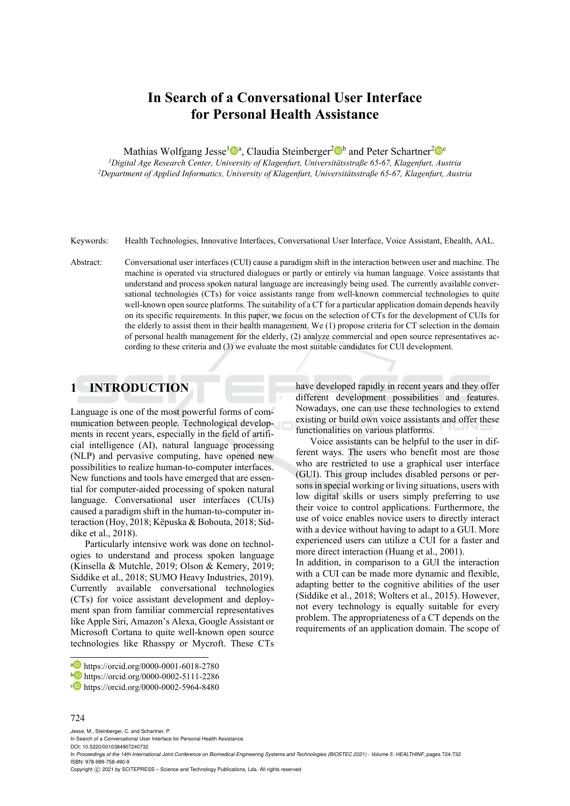# **In Search of a Conversational User Interface for Personal Health Assistance**

Mathias Wolfgang Jesse<sup>1</sup><sup>®</sup><sup>a</sup>, Claudia Steinberger<sup>2</sup><sup>®</sup><sup>b</sup> and Peter Schartner<sup>2</sup><sup>®</sup><sup>c</sup><br>*<sup>1</sup>Digital Age Research Center, University of Klagenfurt, Universitätsstraße 65-67, Klagenfurt, Austria* 

*1Digital Age Research Center, University of Klagenfurt, Universitätsstraße 65-67, Klagenfurt, Austria 2Department of Applied Informatics, University of Klagenfurt, Universitätsstraße 65-67, Klagenfurt, Austria* 

Keywords: Health Technologies, Innovative Interfaces, Conversational User Interface, Voice Assistant, Ehealth, AAL.

Abstract: Conversational user interfaces (CUI) cause a paradigm shift in the interaction between user and machine. The machine is operated via structured dialogues or partly or entirely via human language. Voice assistants that understand and process spoken natural language are increasingly being used. The currently available conversational technologies (CTs) for voice assistants range from well-known commercial technologies to quite well-known open source platforms. The suitability of a CT for a particular application domain depends heavily on its specific requirements. In this paper, we focus on the selection of CTs for the development of CUIs for the elderly to assist them in their health management. We (1) propose criteria for CT selection in the domain of personal health management for the elderly, (2) analyze commercial and open source representatives according to these criteria and (3) we evaluate the most suitable candidates for CUI development.

# **1 INTRODUCTION**

Language is one of the most powerful forms of communication between people. Technological developments in recent years, especially in the field of artificial intelligence (AI), natural language processing (NLP) and pervasive computing, have opened new possibilities to realize human-to-computer interfaces. New functions and tools have emerged that are essential for computer-aided processing of spoken natural language. Conversational user interfaces (CUIs) caused a paradigm shift in the human-to-computer interaction (Hoy, 2018; Këpuska & Bohouta, 2018; Siddike et al., 2018).

Particularly intensive work was done on technologies to understand and process spoken language (Kinsella & Mutchle, 2019; Olson & Kemery, 2019; Siddike et al., 2018; SUMO Heavy Industries, 2019). Currently available conversational technologies (CTs) for voice assistant development and deployment span from familiar commercial representatives like Apple Siri, Amazon's Alexa, Google Assistant or Microsoft Cortana to quite well-known open source technologies like Rhasspy or Mycroft. These CTs

#### 724

Jesse, M., Steinberger, C. and Schartner, P.

In *Proceedings of the 14th International Joint Conference on Biomedical Engineering Systems and Technologies (BIOSTEC 2021) - Volume 5: HEALTHINF*, pages 724-732 ISBN: 978-989-758-490-9

have developed rapidly in recent years and they offer different development possibilities and features. Nowadays, one can use these technologies to extend existing or build own voice assistants and offer these functionalities on various platforms.

Voice assistants can be helpful to the user in different ways. The users who benefit most are those who are restricted to use a graphical user interface (GUI). This group includes disabled persons or persons in special working or living situations, users with low digital skills or users simply preferring to use their voice to control applications. Furthermore, the use of voice enables novice users to directly interact with a device without having to adapt to a GUI. More experienced users can utilize a CUI for a faster and more direct interaction (Huang et al., 2001).

In addition, in comparison to a GUI the interaction with a CUI can be made more dynamic and flexible, adapting better to the cognitive abilities of the user (Siddike et al., 2018; Wolters et al., 2015). However, not every technology is equally suitable for every problem. The appropriateness of a CT depends on the requirements of an application domain. The scope of

a https://orcid.org/0000-0001-6018-2780<br>b https://orcid.org/0000-0002-5111-2286<br>c https://orcid.org/0000-0002-5964-8480

In Search of a Conversational User Interface for Personal Health Assistance.

DOI: 10.5220/0010384907240732

Copyright © 2021 by SCITEPRESS - Science and Technology Publications, Lda. All rights reserved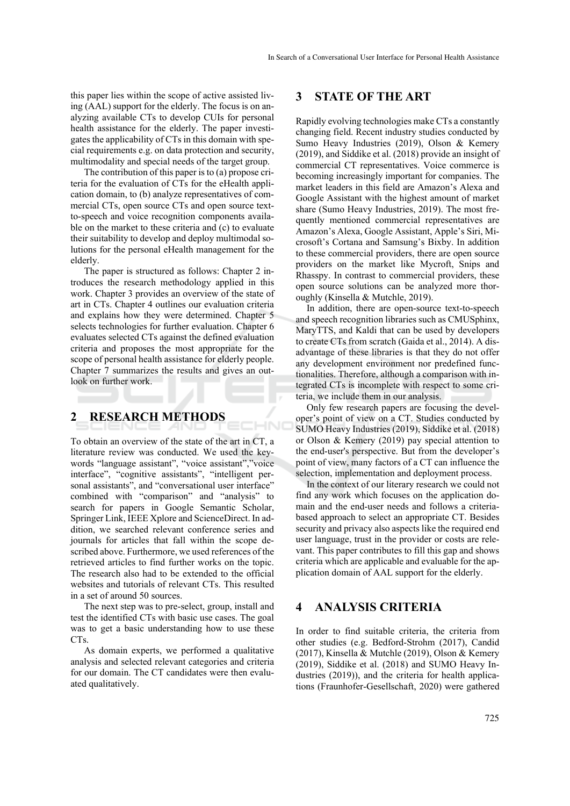this paper lies within the scope of active assisted living (AAL) support for the elderly. The focus is on analyzing available CTs to develop CUIs for personal health assistance for the elderly. The paper investigates the applicability of CTs in this domain with special requirements e.g. on data protection and security, multimodality and special needs of the target group.

The contribution of this paper is to (a) propose criteria for the evaluation of CTs for the eHealth application domain, to (b) analyze representatives of commercial CTs, open source CTs and open source textto-speech and voice recognition components available on the market to these criteria and (c) to evaluate their suitability to develop and deploy multimodal solutions for the personal eHealth management for the elderly.

The paper is structured as follows: Chapter 2 introduces the research methodology applied in this work. Chapter 3 provides an overview of the state of art in CTs. Chapter 4 outlines our evaluation criteria and explains how they were determined. Chapter 5 selects technologies for further evaluation. Chapter 6 evaluates selected CTs against the defined evaluation criteria and proposes the most appropriate for the scope of personal health assistance for elderly people. Chapter 7 summarizes the results and gives an outlook on further work.

# **2 RESEARCH METHODS**

To obtain an overview of the state of the art in CT, a literature review was conducted. We used the keywords "language assistant", "voice assistant","voice interface", "cognitive assistants", "intelligent personal assistants", and "conversational user interface" combined with "comparison" and "analysis" to search for papers in Google Semantic Scholar, Springer Link, IEEE Xplore and ScienceDirect. In addition, we searched relevant conference series and journals for articles that fall within the scope described above. Furthermore, we used references of the retrieved articles to find further works on the topic. The research also had to be extended to the official websites and tutorials of relevant CTs. This resulted in a set of around 50 sources.

HNIC

The next step was to pre-select, group, install and test the identified CTs with basic use cases. The goal was to get a basic understanding how to use these  $CTs$ 

As domain experts, we performed a qualitative analysis and selected relevant categories and criteria for our domain. The CT candidates were then evaluated qualitatively.

### **3 STATE OF THE ART**

Rapidly evolving technologies make CTs a constantly changing field. Recent industry studies conducted by Sumo Heavy Industries (2019), Olson & Kemery (2019), and Siddike et al. (2018) provide an insight of commercial CT representatives. Voice commerce is becoming increasingly important for companies. The market leaders in this field are Amazon's Alexa and Google Assistant with the highest amount of market share (Sumo Heavy Industries, 2019). The most frequently mentioned commercial representatives are Amazon's Alexa, Google Assistant, Apple's Siri, Microsoft's Cortana and Samsung's Bixby. In addition to these commercial providers, there are open source providers on the market like Mycroft, Snips and Rhasspy. In contrast to commercial providers, these open source solutions can be analyzed more thoroughly (Kinsella & Mutchle, 2019).

In addition, there are open-source text-to-speech and speech recognition libraries such as CMUSphinx, MaryTTS, and Kaldi that can be used by developers to create CTs from scratch (Gaida et al., 2014). A disadvantage of these libraries is that they do not offer any development environment nor predefined functionalities. Therefore, although a comparison with integrated CTs is incomplete with respect to some criteria, we include them in our analysis.

Only few research papers are focusing the developer's point of view on a CT. Studies conducted by SUMO Heavy Industries (2019), Siddike et al. (2018) or Olson & Kemery (2019) pay special attention to the end-user's perspective. But from the developer's point of view, many factors of a CT can influence the selection, implementation and deployment process.

In the context of our literary research we could not find any work which focuses on the application domain and the end-user needs and follows a criteriabased approach to select an appropriate CT. Besides security and privacy also aspects like the required end user language, trust in the provider or costs are relevant. This paper contributes to fill this gap and shows criteria which are applicable and evaluable for the application domain of AAL support for the elderly.

### **4 ANALYSIS CRITERIA**

In order to find suitable criteria, the criteria from other studies (e.g. Bedford-Strohm (2017), Candid (2017), Kinsella & Mutchle (2019), Olson & Kemery (2019), Siddike et al. (2018) and SUMO Heavy Industries (2019)), and the criteria for health applications (Fraunhofer-Gesellschaft, 2020) were gathered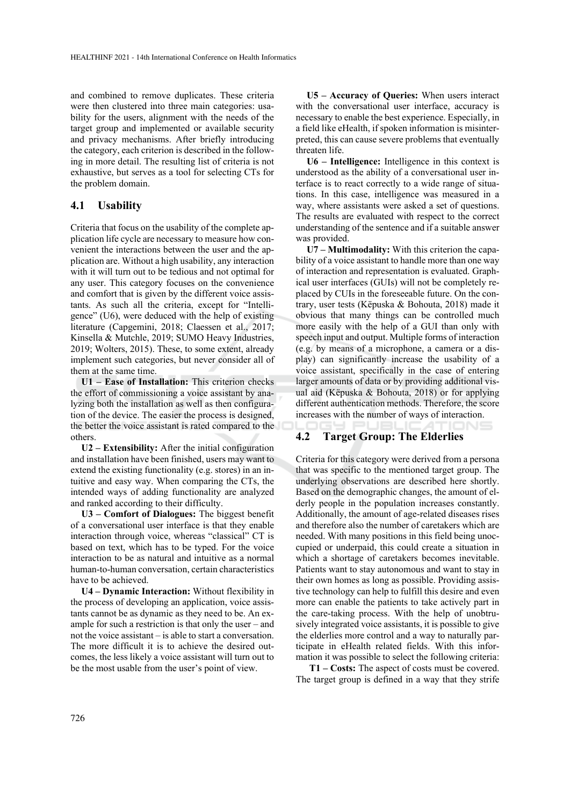and combined to remove duplicates. These criteria were then clustered into three main categories: usability for the users, alignment with the needs of the target group and implemented or available security and privacy mechanisms. After briefly introducing the category, each criterion is described in the following in more detail. The resulting list of criteria is not exhaustive, but serves as a tool for selecting CTs for the problem domain.

### **4.1 Usability**

Criteria that focus on the usability of the complete application life cycle are necessary to measure how convenient the interactions between the user and the application are. Without a high usability, any interaction with it will turn out to be tedious and not optimal for any user. This category focuses on the convenience and comfort that is given by the different voice assistants. As such all the criteria, except for "Intelligence" (U6), were deduced with the help of existing literature (Capgemini, 2018; Claessen et al., 2017; Kinsella & Mutchle, 2019; SUMO Heavy Industries, 2019; Wolters, 2015). These, to some extent, already implement such categories, but never consider all of them at the same time.

**U1 – Ease of Installation:** This criterion checks the effort of commissioning a voice assistant by analyzing both the installation as well as then configuration of the device. The easier the process is designed, the better the voice assistant is rated compared to the others.

**U2 – Extensibility:** After the initial configuration and installation have been finished, users may want to extend the existing functionality (e.g. stores) in an intuitive and easy way. When comparing the CTs, the intended ways of adding functionality are analyzed and ranked according to their difficulty.

**U3 – Comfort of Dialogues:** The biggest benefit of a conversational user interface is that they enable interaction through voice, whereas "classical" CT is based on text, which has to be typed. For the voice interaction to be as natural and intuitive as a normal human-to-human conversation, certain characteristics have to be achieved.

**U4 – Dynamic Interaction:** Without flexibility in the process of developing an application, voice assistants cannot be as dynamic as they need to be. An example for such a restriction is that only the user – and not the voice assistant – is able to start a conversation. The more difficult it is to achieve the desired outcomes, the less likely a voice assistant will turn out to be the most usable from the user's point of view.

**U5 – Accuracy of Queries:** When users interact with the conversational user interface, accuracy is necessary to enable the best experience. Especially, in a field like eHealth, if spoken information is misinterpreted, this can cause severe problems that eventually threaten life.

**U6 – Intelligence:** Intelligence in this context is understood as the ability of a conversational user interface is to react correctly to a wide range of situations. In this case, intelligence was measured in a way, where assistants were asked a set of questions. The results are evaluated with respect to the correct understanding of the sentence and if a suitable answer was provided.

**U7 – Multimodality:** With this criterion the capability of a voice assistant to handle more than one way of interaction and representation is evaluated. Graphical user interfaces (GUIs) will not be completely replaced by CUIs in the foreseeable future. On the contrary, user tests (Këpuska & Bohouta, 2018) made it obvious that many things can be controlled much more easily with the help of a GUI than only with speech input and output. Multiple forms of interaction (e.g. by means of a microphone, a camera or a display) can significantly increase the usability of a voice assistant, specifically in the case of entering larger amounts of data or by providing additional visual aid (Këpuska & Bohouta, 2018) or for applying different authentication methods. Therefore, the score increases with the number of ways of interaction.

#### **4.2 Target Group: The Elderlies**

Criteria for this category were derived from a persona that was specific to the mentioned target group. The underlying observations are described here shortly. Based on the demographic changes, the amount of elderly people in the population increases constantly. Additionally, the amount of age-related diseases rises and therefore also the number of caretakers which are needed. With many positions in this field being unoccupied or underpaid, this could create a situation in which a shortage of caretakers becomes inevitable. Patients want to stay autonomous and want to stay in their own homes as long as possible. Providing assistive technology can help to fulfill this desire and even more can enable the patients to take actively part in the care-taking process. With the help of unobtrusively integrated voice assistants, it is possible to give the elderlies more control and a way to naturally participate in eHealth related fields. With this information it was possible to select the following criteria:

**T1 – Costs:** The aspect of costs must be covered. The target group is defined in a way that they strife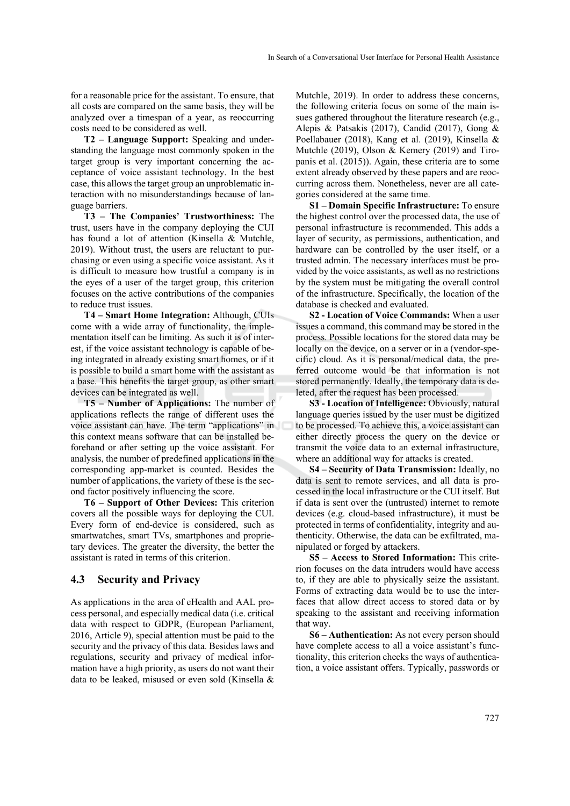for a reasonable price for the assistant. To ensure, that all costs are compared on the same basis, they will be analyzed over a timespan of a year, as reoccurring costs need to be considered as well.

**T2 – Language Support:** Speaking and understanding the language most commonly spoken in the target group is very important concerning the acceptance of voice assistant technology. In the best case, this allows the target group an unproblematic interaction with no misunderstandings because of language barriers.

**T3 – The Companies' Trustworthiness:** The trust, users have in the company deploying the CUI has found a lot of attention (Kinsella & Mutchle, 2019). Without trust, the users are reluctant to purchasing or even using a specific voice assistant. As it is difficult to measure how trustful a company is in the eyes of a user of the target group, this criterion focuses on the active contributions of the companies to reduce trust issues.

**T4 – Smart Home Integration:** Although, CUIs come with a wide array of functionality, the implementation itself can be limiting. As such it is of interest, if the voice assistant technology is capable of being integrated in already existing smart homes, or if it is possible to build a smart home with the assistant as a base. This benefits the target group, as other smart devices can be integrated as well.

**T5 – Number of Applications:** The number of applications reflects the range of different uses the voice assistant can have. The term "applications" in this context means software that can be installed beforehand or after setting up the voice assistant. For analysis, the number of predefined applications in the corresponding app-market is counted. Besides the number of applications, the variety of these is the second factor positively influencing the score.

**T6 – Support of Other Devices:** This criterion covers all the possible ways for deploying the CUI. Every form of end-device is considered, such as smartwatches, smart TVs, smartphones and proprietary devices. The greater the diversity, the better the assistant is rated in terms of this criterion.

#### **4.3 Security and Privacy**

As applications in the area of eHealth and AAL process personal, and especially medical data (i.e. critical data with respect to GDPR, (European Parliament, 2016, Article 9), special attention must be paid to the security and the privacy of this data. Besides laws and regulations, security and privacy of medical information have a high priority, as users do not want their data to be leaked, misused or even sold (Kinsella &

Mutchle, 2019). In order to address these concerns, the following criteria focus on some of the main issues gathered throughout the literature research (e.g., Alepis & Patsakis (2017), Candid (2017), Gong & Poellabauer (2018), Kang et al. (2019), Kinsella & Mutchle (2019), Olson & Kemery (2019) and Tiropanis et al. (2015)). Again, these criteria are to some extent already observed by these papers and are reoccurring across them. Nonetheless, never are all categories considered at the same time.

**S1 – Domain Specific Infrastructure:** To ensure the highest control over the processed data, the use of personal infrastructure is recommended. This adds a layer of security, as permissions, authentication, and hardware can be controlled by the user itself, or a trusted admin. The necessary interfaces must be provided by the voice assistants, as well as no restrictions by the system must be mitigating the overall control of the infrastructure. Specifically, the location of the database is checked and evaluated.

**S2 - Location of Voice Commands:** When a user issues a command, this command may be stored in the process. Possible locations for the stored data may be locally on the device, on a server or in a (vendor-specific) cloud. As it is personal/medical data, the preferred outcome would be that information is not stored permanently. Ideally, the temporary data is deleted, after the request has been processed.

**S3 - Location of Intelligence:** Obviously, natural language queries issued by the user must be digitized to be processed. To achieve this, a voice assistant can either directly process the query on the device or transmit the voice data to an external infrastructure, where an additional way for attacks is created.

**S4 – Security of Data Transmission:** Ideally, no data is sent to remote services, and all data is processed in the local infrastructure or the CUI itself. But if data is sent over the (untrusted) internet to remote devices (e.g. cloud-based infrastructure), it must be protected in terms of confidentiality, integrity and authenticity. Otherwise, the data can be exfiltrated, manipulated or forged by attackers.

**S5 – Access to Stored Information:** This criterion focuses on the data intruders would have access to, if they are able to physically seize the assistant. Forms of extracting data would be to use the interfaces that allow direct access to stored data or by speaking to the assistant and receiving information that way.

**S6 – Authentication:** As not every person should have complete access to all a voice assistant's functionality, this criterion checks the ways of authentication, a voice assistant offers. Typically, passwords or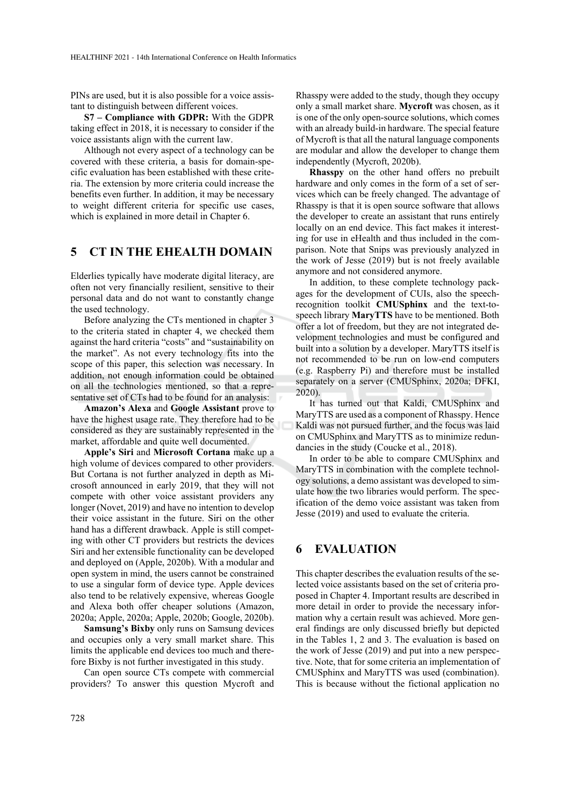PINs are used, but it is also possible for a voice assistant to distinguish between different voices.

**S7 – Compliance with GDPR:** With the GDPR taking effect in 2018, it is necessary to consider if the voice assistants align with the current law.

Although not every aspect of a technology can be covered with these criteria, a basis for domain-specific evaluation has been established with these criteria. The extension by more criteria could increase the benefits even further. In addition, it may be necessary to weight different criteria for specific use cases, which is explained in more detail in Chapter 6.

### **5 CT IN THE EHEALTH DOMAIN**

Elderlies typically have moderate digital literacy, are often not very financially resilient, sensitive to their personal data and do not want to constantly change the used technology.

Before analyzing the CTs mentioned in chapter 3 to the criteria stated in chapter 4, we checked them against the hard criteria "costs" and "sustainability on the market". As not every technology fits into the scope of this paper, this selection was necessary. In addition, not enough information could be obtained on all the technologies mentioned, so that a representative set of CTs had to be found for an analysis:

**Amazon's Alexa** and **Google Assistant** prove to have the highest usage rate. They therefore had to be considered as they are sustainably represented in the market, affordable and quite well documented.

**Apple's Siri** and **Microsoft Cortana** make up a high volume of devices compared to other providers. But Cortana is not further analyzed in depth as Microsoft announced in early 2019, that they will not compete with other voice assistant providers any longer (Novet, 2019) and have no intention to develop their voice assistant in the future. Siri on the other hand has a different drawback. Apple is still competing with other CT providers but restricts the devices Siri and her extensible functionality can be developed and deployed on (Apple, 2020b). With a modular and open system in mind, the users cannot be constrained to use a singular form of device type. Apple devices also tend to be relatively expensive, whereas Google and Alexa both offer cheaper solutions (Amazon, 2020a; Apple, 2020a; Apple, 2020b; Google, 2020b).

**Samsung's Bixby** only runs on Samsung devices and occupies only a very small market share. This limits the applicable end devices too much and therefore Bixby is not further investigated in this study.

Can open source CTs compete with commercial providers? To answer this question Mycroft and Rhasspy were added to the study, though they occupy only a small market share. **Mycroft** was chosen, as it is one of the only open-source solutions, which comes with an already build-in hardware. The special feature of Mycroft is that all the natural language components are modular and allow the developer to change them independently (Mycroft, 2020b).

**Rhasspy** on the other hand offers no prebuilt hardware and only comes in the form of a set of services which can be freely changed. The advantage of Rhasspy is that it is open source software that allows the developer to create an assistant that runs entirely locally on an end device. This fact makes it interesting for use in eHealth and thus included in the comparison. Note that Snips was previously analyzed in the work of Jesse (2019) but is not freely available anymore and not considered anymore.

In addition, to these complete technology packages for the development of CUIs, also the speechrecognition toolkit **CMUSphinx** and the text-tospeech library **MaryTTS** have to be mentioned. Both offer a lot of freedom, but they are not integrated development technologies and must be configured and built into a solution by a developer. MaryTTS itself is not recommended to be run on low-end computers (e.g. Raspberry Pi) and therefore must be installed separately on a server (CMUSphinx, 2020a; DFKI, 2020).

It has turned out that Kaldi, CMUSphinx and MaryTTS are used as a component of Rhasspy. Hence Kaldi was not pursued further, and the focus was laid on CMUSphinx and MaryTTS as to minimize redundancies in the study (Coucke et al., 2018).

In order to be able to compare CMUSphinx and MaryTTS in combination with the complete technology solutions, a demo assistant was developed to simulate how the two libraries would perform. The specification of the demo voice assistant was taken from Jesse (2019) and used to evaluate the criteria.

# **6 EVALUATION**

This chapter describes the evaluation results of the selected voice assistants based on the set of criteria proposed in Chapter 4. Important results are described in more detail in order to provide the necessary information why a certain result was achieved. More general findings are only discussed briefly but depicted in the Tables 1, 2 and 3. The evaluation is based on the work of Jesse (2019) and put into a new perspective. Note, that for some criteria an implementation of CMUSphinx and MaryTTS was used (combination). This is because without the fictional application no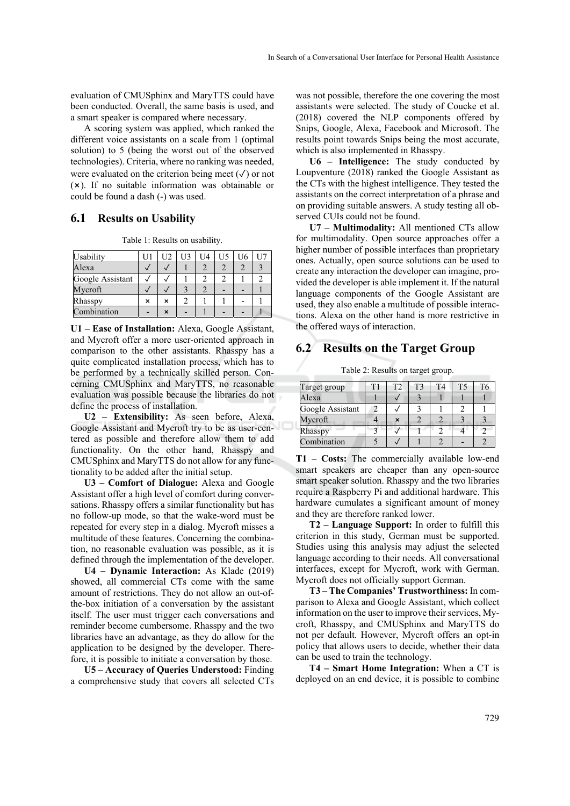evaluation of CMUSphinx and MaryTTS could have been conducted. Overall, the same basis is used, and a smart speaker is compared where necessary.

A scoring system was applied, which ranked the different voice assistants on a scale from 1 (optimal solution) to 5 (being the worst out of the observed technologies). Criteria, where no ranking was needed, were evaluated on the criterion being meet (✓) or not (⨯). If no suitable information was obtainable or could be found a dash (-) was used.

#### **6.1 Results on Usability**

Table 1: Results on usability.

| Usability        |   | U2 | U3 | U4 | U5 |  |
|------------------|---|----|----|----|----|--|
| Alexa            |   |    |    |    |    |  |
| Google Assistant |   |    |    |    |    |  |
| Mycroft          |   |    |    |    |    |  |
| Rhasspy          | × | ×  |    |    |    |  |
| Combination      |   |    |    |    |    |  |

**U1 – Ease of Installation:** Alexa, Google Assistant, and Mycroft offer a more user-oriented approach in comparison to the other assistants. Rhasspy has a quite complicated installation process, which has to be performed by a technically skilled person. Concerning CMUSphinx and MaryTTS, no reasonable evaluation was possible because the libraries do not define the process of installation.

**U2 – Extensibility:** As seen before, Alexa, Google Assistant and Mycroft try to be as user-centered as possible and therefore allow them to add functionality. On the other hand, Rhasspy and CMUSphinx and MaryTTS do not allow for any functionality to be added after the initial setup.

**U3 – Comfort of Dialogue:** Alexa and Google Assistant offer a high level of comfort during conversations. Rhasspy offers a similar functionality but has no follow-up mode, so that the wake-word must be repeated for every step in a dialog. Mycroft misses a multitude of these features. Concerning the combination, no reasonable evaluation was possible, as it is defined through the implementation of the developer.

**U4 – Dynamic Interaction:** As Klade (2019) showed, all commercial CTs come with the same amount of restrictions. They do not allow an out-ofthe-box initiation of a conversation by the assistant itself. The user must trigger each conversations and reminder become cumbersome. Rhasspy and the two libraries have an advantage, as they do allow for the application to be designed by the developer. Therefore, it is possible to initiate a conversation by those.

**U5 – Accuracy of Queries Understood:** Finding a comprehensive study that covers all selected CTs

was not possible, therefore the one covering the most assistants were selected. The study of Coucke et al. (2018) covered the NLP components offered by Snips, Google, Alexa, Facebook and Microsoft. The results point towards Snips being the most accurate, which is also implemented in Rhasspy.

**U6 – Intelligence:** The study conducted by Loupventure (2018) ranked the Google Assistant as the CTs with the highest intelligence. They tested the assistants on the correct interpretation of a phrase and on providing suitable answers. A study testing all observed CUIs could not be found.

**U7 – Multimodality:** All mentioned CTs allow for multimodality. Open source approaches offer a higher number of possible interfaces than proprietary ones. Actually, open source solutions can be used to create any interaction the developer can imagine, provided the developer is able implement it. If the natural language components of the Google Assistant are used, they also enable a multitude of possible interactions. Alexa on the other hand is more restrictive in the offered ways of interaction.

#### **6.2 Results on the Target Group**

Table 2: Results on target group.

| Target group     | T2 | T3 | T4 | T5 | T6 |
|------------------|----|----|----|----|----|
| Alexa            |    |    |    |    |    |
| Google Assistant |    |    |    |    |    |
| Mycroft          |    |    |    |    |    |
| Rhasspy          |    |    |    |    |    |
| Combination      |    |    |    |    |    |

**T1 – Costs:** The commercially available low-end smart speakers are cheaper than any open-source smart speaker solution. Rhasspy and the two libraries require a Raspberry Pi and additional hardware. This hardware cumulates a significant amount of money and they are therefore ranked lower.

**T2 – Language Support:** In order to fulfill this criterion in this study, German must be supported. Studies using this analysis may adjust the selected language according to their needs. All conversational interfaces, except for Mycroft, work with German. Mycroft does not officially support German.

**T3 – The Companies' Trustworthiness:** In comparison to Alexa and Google Assistant, which collect information on the user to improve their services, Mycroft, Rhasspy, and CMUSphinx and MaryTTS do not per default. However, Mycroft offers an opt-in policy that allows users to decide, whether their data can be used to train the technology.

**T4 – Smart Home Integration:** When a CT is deployed on an end device, it is possible to combine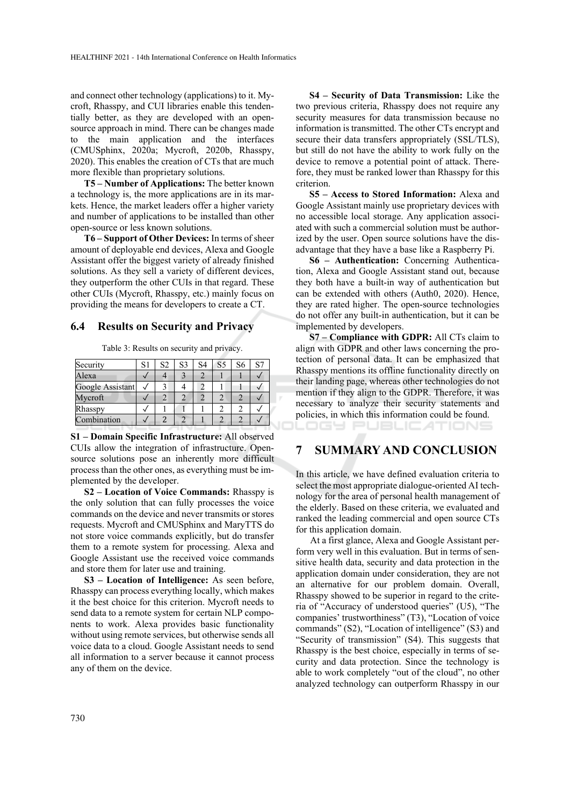and connect other technology (applications) to it. Mycroft, Rhasspy, and CUI libraries enable this tendentially better, as they are developed with an opensource approach in mind. There can be changes made to the main application and the interfaces (CMUSphinx, 2020a; Mycroft, 2020b, Rhasspy, 2020). This enables the creation of CTs that are much more flexible than proprietary solutions.

**T5 – Number of Applications:** The better known a technology is, the more applications are in its markets. Hence, the market leaders offer a higher variety and number of applications to be installed than other open-source or less known solutions.

**T6 – Support of Other Devices:** In terms of sheer amount of deployable end devices, Alexa and Google Assistant offer the biggest variety of already finished solutions. As they sell a variety of different devices, they outperform the other CUIs in that regard. These other CUIs (Mycroft, Rhasspy, etc.) mainly focus on providing the means for developers to create a CT.

#### **6.4 Results on Security and Privacy**

Table 3: Results on security and privacy.

| Security         | S1 | S <sub>2</sub> | S <sub>3</sub> | S4 | S <sub>5</sub> | S6 | S7 |
|------------------|----|----------------|----------------|----|----------------|----|----|
| Alexa            |    |                |                |    |                |    |    |
| Google Assistant |    |                |                |    |                |    |    |
| Mycroft          |    |                |                |    |                |    |    |
| Rhasspy          |    |                |                |    |                |    |    |
| Combination      |    |                |                |    |                |    |    |

**S1 – Domain Specific Infrastructure:** All observed CUIs allow the integration of infrastructure. Opensource solutions pose an inherently more difficult process than the other ones, as everything must be implemented by the developer.

**S2 – Location of Voice Commands:** Rhasspy is the only solution that can fully processes the voice commands on the device and never transmits or stores requests. Mycroft and CMUSphinx and MaryTTS do not store voice commands explicitly, but do transfer them to a remote system for processing. Alexa and Google Assistant use the received voice commands and store them for later use and training.

**S3 – Location of Intelligence:** As seen before, Rhasspy can process everything locally, which makes it the best choice for this criterion. Mycroft needs to send data to a remote system for certain NLP components to work. Alexa provides basic functionality without using remote services, but otherwise sends all voice data to a cloud. Google Assistant needs to send all information to a server because it cannot process any of them on the device.

**S4 – Security of Data Transmission:** Like the two previous criteria, Rhasspy does not require any security measures for data transmission because no information is transmitted. The other CTs encrypt and secure their data transfers appropriately (SSL/TLS), but still do not have the ability to work fully on the device to remove a potential point of attack. Therefore, they must be ranked lower than Rhasspy for this criterion.

**S5 – Access to Stored Information:** Alexa and Google Assistant mainly use proprietary devices with no accessible local storage. Any application associated with such a commercial solution must be authorized by the user. Open source solutions have the disadvantage that they have a base like a Raspberry Pi.

**S6 – Authentication:** Concerning Authentication, Alexa and Google Assistant stand out, because they both have a built-in way of authentication but can be extended with others (Auth0, 2020). Hence, they are rated higher. The open-source technologies do not offer any built-in authentication, but it can be implemented by developers.

**S7 – Compliance with GDPR:** All CTs claim to align with GDPR and other laws concerning the protection of personal data. It can be emphasized that Rhasspy mentions its offline functionality directly on their landing page, whereas other technologies do not mention if they align to the GDPR. Therefore, it was necessary to analyze their security statements and policies, in which this information could be found.

OGY PUBLICATIONS

# **7 SUMMARY AND CONCLUSION**

In this article, we have defined evaluation criteria to select the most appropriate dialogue-oriented AI technology for the area of personal health management of the elderly. Based on these criteria, we evaluated and ranked the leading commercial and open source CTs for this application domain.

At a first glance, Alexa and Google Assistant perform very well in this evaluation. But in terms of sensitive health data, security and data protection in the application domain under consideration, they are not an alternative for our problem domain. Overall, Rhasspy showed to be superior in regard to the criteria of "Accuracy of understood queries" (U5), "The companies' trustworthiness" (T3), "Location of voice commands" (S2), "Location of intelligence" (S3) and "Security of transmission" (S4). This suggests that Rhasspy is the best choice, especially in terms of security and data protection. Since the technology is able to work completely "out of the cloud", no other analyzed technology can outperform Rhasspy in our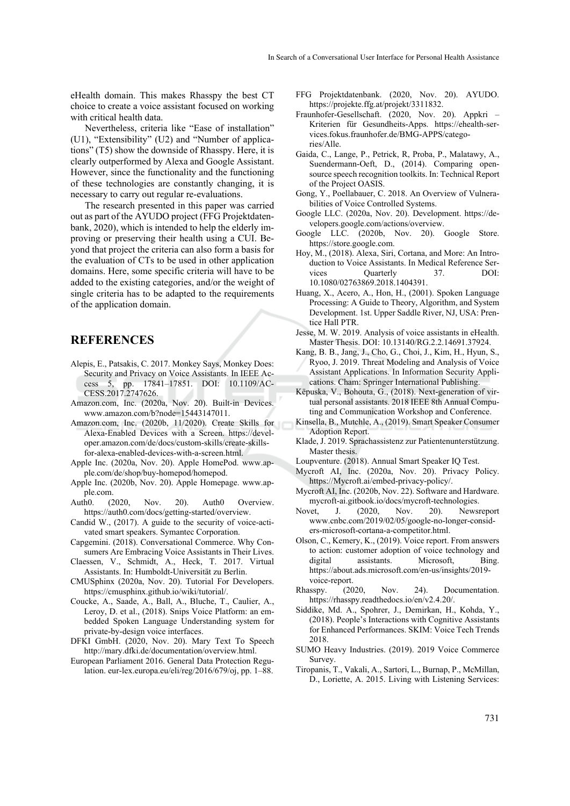eHealth domain. This makes Rhasspy the best CT choice to create a voice assistant focused on working with critical health data.

Nevertheless, criteria like "Ease of installation" (U1), "Extensibility" (U2) and "Number of applications" (T5) show the downside of Rhasspy. Here, it is clearly outperformed by Alexa and Google Assistant. However, since the functionality and the functioning of these technologies are constantly changing, it is necessary to carry out regular re-evaluations.

The research presented in this paper was carried out as part of the AYUDO project (FFG Projektdatenbank, 2020), which is intended to help the elderly improving or preserving their health using a CUI. Beyond that project the criteria can also form a basis for the evaluation of CTs to be used in other application domains. Here, some specific criteria will have to be added to the existing categories, and/or the weight of single criteria has to be adapted to the requirements of the application domain.

### **REFERENCES**

- Alepis, E., Patsakis, C. 2017. Monkey Says, Monkey Does: Security and Privacy on Voice Assistants. In IEEE Access 5, pp. 17841–17851. DOI: 10.1109/AC-CESS.2017.2747626.
- Amazon.com, Inc. (2020a, Nov. 20). Built-in Devices. www.amazon.com/b?node=15443147011.
- Amazon.com, Inc. (2020b, 11/2020). Create Skills for Alexa-Enabled Devices with a Screen. https://developer.amazon.com/de/docs/custom-skills/create-skillsfor-alexa-enabled-devices-with-a-screen.html.
- Apple Inc. (2020a, Nov. 20). Apple HomePod. www.apple.com/de/shop/buy-homepod/homepod.
- Apple Inc. (2020b, Nov. 20). Apple Homepage. www.apple.com.
- Auth0. (2020, Nov. 20). Auth0 Overview. https://auth0.com/docs/getting-started/overview.
- Candid W., (2017). A guide to the security of voice-activated smart speakers. Symantec Corporation.
- Capgemini. (2018). Conversational Commerce. Why Consumers Are Embracing Voice Assistants in Their Lives.
- Claessen, V., Schmidt, A., Heck, T. 2017. Virtual Assistants. In: Humboldt-Universität zu Berlin.
- CMUSphinx (2020a, Nov. 20). Tutorial For Developers. https://cmusphinx.github.io/wiki/tutorial/.
- Coucke, A., Saade, A., Ball, A., Bluche, T., Caulier, A., Leroy, D. et al., (2018). Snips Voice Platform: an embedded Spoken Language Understanding system for private-by-design voice interfaces.
- DFKI GmbH. (2020, Nov. 20). Mary Text To Speech http://mary.dfki.de/documentation/overview.html.
- European Parliament 2016. General Data Protection Regulation. eur-lex.europa.eu/eli/reg/2016/679/oj, pp. 1–88.
- FFG Projektdatenbank. (2020, Nov. 20). AYUDO. https://projekte.ffg.at/projekt/3311832.
- Fraunhofer-Gesellschaft. (2020, Nov. 20). Appkri Kriterien für Gesundheits-Apps. https://ehealth-services.fokus.fraunhofer.de/BMG-APPS/categories/Alle.
- Gaida, C., Lange, P., Petrick, R, Proba, P., Malatawy, A., Suendermann-Oeft, D., (2014). Comparing opensource speech recognition toolkits. In: Technical Report of the Project OASIS.
- Gong, Y., Poellabauer, C. 2018. An Overview of Vulnerabilities of Voice Controlled Systems.
- Google LLC. (2020a, Nov. 20). Development. https://developers.google.com/actions/overview.
- Google LLC. (2020b, Nov. 20). Google Store. https://store.google.com.
- Hoy, M., (2018). Alexa, Siri, Cortana, and More: An Introduction to Voice Assistants. In Medical Reference Services Quarterly 37. DOI: 10.1080/02763869.2018.1404391.
- Huang, X., Acero, A., Hon, H., (2001). Spoken Language Processing: A Guide to Theory, Algorithm, and System Development. 1st. Upper Saddle River, NJ, USA: Prentice Hall PTR.
- Jesse, M. W. 2019. Analysis of voice assistants in eHealth. Master Thesis. DOI: 10.13140/RG.2.2.14691.37924.
- Kang, B. B., Jang, J., Cho, G., Choi, J., Kim, H., Hyun, S., Ryoo, J. 2019. Threat Modeling and Analysis of Voice Assistant Applications. In Information Security Applications. Cham: Springer International Publishing.
- Këpuska, V., Bohouta, G., (2018). Next-generation of virtual personal assistants. 2018 IEEE 8th Annual Computing and Communication Workshop and Conference.
- Kinsella, B., Mutchle, A., (2019). Smart Speaker Consumer Adoption Report.
- Klade, J. 2019. Sprachassistenz zur Patientenunterstützung. Master thesis.
- Loupventure. (2018). Annual Smart Speaker IQ Test.
- Mycroft AI, Inc. (2020a, Nov. 20). Privacy Policy. https://Mycroft.ai/embed-privacy-policy/.
- Mycroft AI, Inc. (2020b, Nov. 22). Software and Hardware. mycroft-ai.gitbook.io/docs/mycroft-technologies.
- Novet, J. (2020, Nov. 20). Newsreport www.cnbc.com/2019/02/05/google-no-longer-considers-microsoft-cortana-a-competitor.html.
- Olson, C., Kemery, K., (2019). Voice report. From answers to action: customer adoption of voice technology and digital assistants. Microsoft, Bing. https://about.ads.microsoft.com/en-us/insights/2019 voice-report.
- Rhasspy. (2020, Nov. 24). Documentation. https://rhasspy.readthedocs.io/en/v2.4.20/.
- Siddike, Md. A., Spohrer, J., Demirkan, H., Kohda, Y., (2018). People's Interactions with Cognitive Assistants for Enhanced Performances. SKIM: Voice Tech Trends 2018.
- SUMO Heavy Industries. (2019). 2019 Voice Commerce Survey.
- Tiropanis, T., Vakali, A., Sartori, L., Burnap, P., McMillan, D., Loriette, A. 2015. Living with Listening Services: